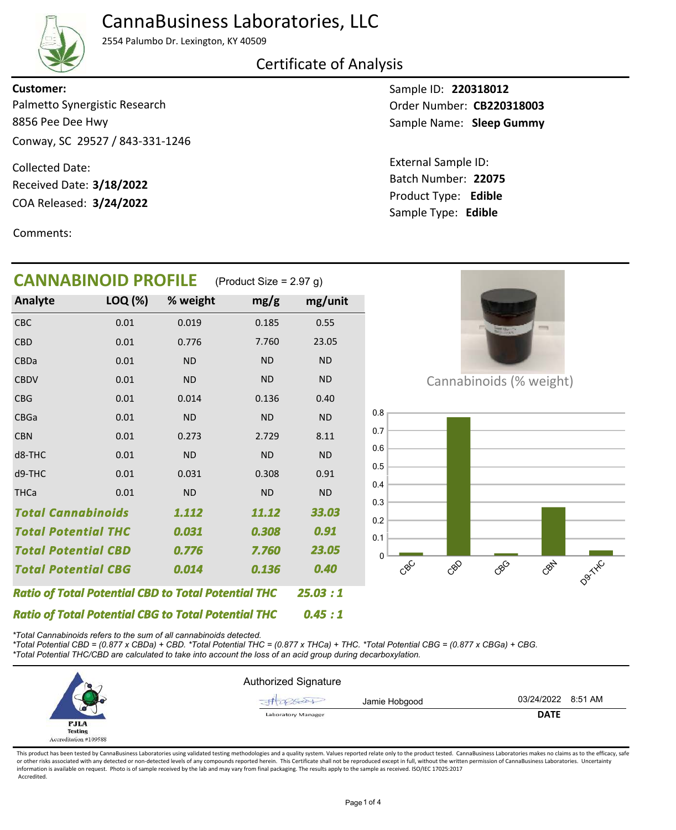## CannaBusiness Laboratories, LLC



2554 Palumbo Dr. Lexington, KY 40509

Certificate of Analysis

8856 Pee Dee Hwy Conway, SC 29527 / 843-331-1246 Palmetto Synergistic Research **Customer:**

COA Released: Collected Date: Received Date: **3/18/2022**

Comments:

Sample ID: **220318012** Sample Name: Sleep Gummy Order Number: CB220318003

Product Type: **Edible 3/24/2022 22075** Batch Number: External Sample ID: Sample Type: **Edible**

| <b>CANNABINOID PROFILE</b>                                 | (Product Size = $2.97$ g) |           |           |           |
|------------------------------------------------------------|---------------------------|-----------|-----------|-----------|
| Analyte                                                    | LOQ (%)                   | % weight  | mg/g      | mg/unit   |
| CBC                                                        | 0.01                      | 0.019     | 0.185     | 0.55      |
| <b>CBD</b>                                                 | 0.01                      | 0.776     | 7.760     | 23.05     |
| CBDa                                                       | 0.01                      | <b>ND</b> | <b>ND</b> | <b>ND</b> |
| <b>CBDV</b>                                                | 0.01                      | <b>ND</b> | <b>ND</b> | <b>ND</b> |
| <b>CBG</b>                                                 | 0.01                      | 0.014     | 0.136     | 0.40      |
| <b>CBGa</b>                                                | 0.01                      | <b>ND</b> | <b>ND</b> | <b>ND</b> |
| <b>CBN</b>                                                 | 0.01                      | 0.273     | 2.729     | 8.11      |
| d8-THC                                                     | 0.01                      | <b>ND</b> | <b>ND</b> | <b>ND</b> |
| d9-THC                                                     | 0.01                      | 0.031     | 0.308     | 0.91      |
| <b>THCa</b>                                                | 0.01                      | <b>ND</b> | <b>ND</b> | <b>ND</b> |
| <b>Total Cannabinoids</b>                                  |                           | 1.112     | 11.12     | 33.03     |
| <b>Total Potential THC</b>                                 |                           | 0.031     | 0.308     | 0.91      |
| <b>Total Potential CBD</b>                                 | 7.760                     | 23.05     |           |           |
| <b>Total Potential CBG</b>                                 | 0.136                     | 0.40      |           |           |
| <b>Ratio of Total Potential CBD to Total Potential THC</b> |                           | 25.03:1   |           |           |
| <b>Ratio of Total Potential CBG to Total Potential THC</b> |                           | 0.45 : 1  |           |           |



Cannabinoids (% weight)



*\*Total Cannabinoids refers to the sum of all cannabinoids detected.*

*\*Total Potential CBD = (0.877 x CBDa) + CBD. \*Total Potential THC = (0.877 x THCa) + THC. \*Total Potential CBG = (0.877 x CBGa) + CBG.*

*\*Total Potential THC/CBD are calculated to take into account the loss of an acid group during decarboxylation.*



This product has been tested by CannaBusiness Laboratories using validated testing methodologies and a quality system. Values reported relate only to the product tested. CannaBusiness Laboratories makes no claims as to the or other risks associated with any detected or non-detected levels of any compounds reported herein. This Certificate shall not be reproduced except in full, without the written permission of CannaBusiness Laboratories. Un information is available on request. Photo is of sample received by the lab and may vary from final packaging. The results apply to the sample as received. ISO/IEC 17025:2017 Accredited.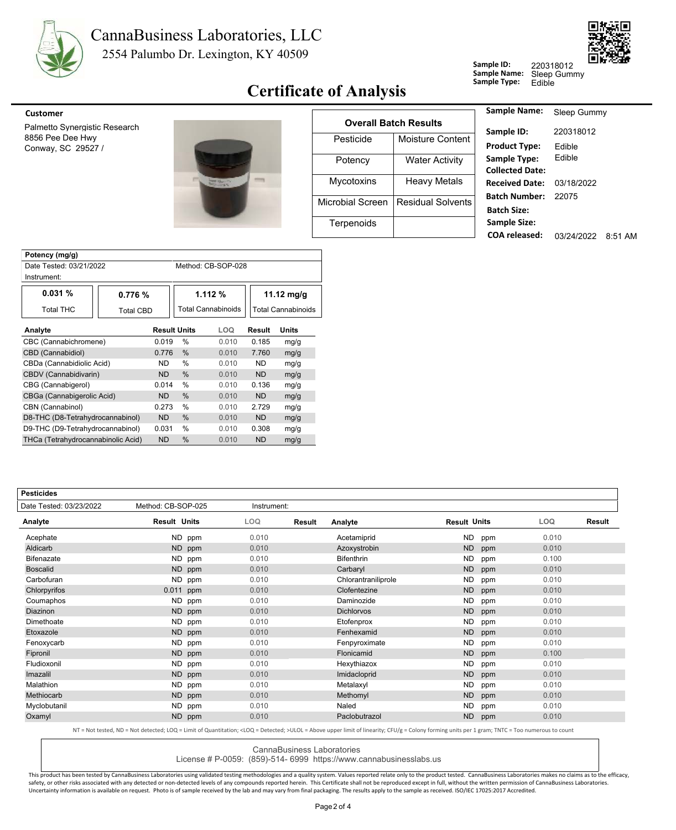

# CannaBusiness Laboratories, LLC

2554 Palumbo Dr. Lexington, KY 40509



#### **Certificate of Analysis** Sample Type:

**Sample ID: Sample Name:** 220318012

Sleep Gummy<br>Edible



| <b>Customer</b>                        |                               |                         |                              | <b>Sample Name:</b>                       |
|----------------------------------------|-------------------------------|-------------------------|------------------------------|-------------------------------------------|
| Palmetto Synergistic Research          |                               |                         | <b>Overall Batch Results</b> |                                           |
| 8856 Pee Dee Hwy<br>Conway, SC 29527 / |                               | Pesticide               | Moisture Content             | Sample ID:<br><b>Product Type:</b>        |
|                                        |                               | Potency                 | <b>Water Activity</b>        | Sample Type:<br><b>Collected Date</b>     |
|                                        | <b>POINT</b><br><b>MARKET</b> | <b>Mycotoxins</b>       | <b>Heavy Metals</b>          | <b>Received Date</b>                      |
|                                        |                               | <b>Microbial Screen</b> | <b>Residual Solvents</b>     | <b>Batch Number</b><br><b>Batch Size:</b> |
|                                        |                               | Terpenoids              |                              | Sample Size:                              |
|                                        |                               |                         |                              | <b>COA</b> released:                      |

| Sample Name:           | Sleep Gummy |           |
|------------------------|-------------|-----------|
| Sample ID:             | 220318012   |           |
| <b>Product Type:</b>   | Fdible      |           |
| Sample Type:           | Fdible      |           |
| <b>Collected Date:</b> |             |           |
| <b>Received Date:</b>  | 03/18/2022  |           |
| Batch Number:          | 22075       |           |
| <b>Batch Size:</b>     |             |           |
| <b>Sample Size:</b>    |             |           |
| <b>COA</b> released:   | 03/24/2022  | $8.51$ AM |
|                        |             |           |

| Potency (mg/g)                     |                  |                     |                           |           |                           |              |  |  |
|------------------------------------|------------------|---------------------|---------------------------|-----------|---------------------------|--------------|--|--|
| Date Tested: 03/21/2022            |                  |                     | Method: CB-SOP-028        |           |                           |              |  |  |
| Instrument:                        |                  |                     |                           |           |                           |              |  |  |
| 0.031%                             | 0.776%           |                     | 1.112%                    |           | 11.12 $mg/g$              |              |  |  |
| Total THC                          | <b>Total CBD</b> |                     | <b>Total Cannabinoids</b> |           | <b>Total Cannabinoids</b> |              |  |  |
| Analyte                            |                  | <b>Result Units</b> |                           | LOQ       | Result                    | <b>Units</b> |  |  |
| CBC (Cannabichromene)              |                  | 0.019               | $\frac{0}{0}$             | 0.010     | 0.185                     | mg/g         |  |  |
| CBD (Cannabidiol)                  |                  | 0.776               | $\frac{0}{0}$             | 0.010     | 7.760                     | mg/g         |  |  |
| CBDa (Cannabidiolic Acid)          |                  | ND.                 | %                         | 0.010     | <b>ND</b>                 | mg/g         |  |  |
| CBDV (Cannabidivarin)              |                  | ND.                 | $\%$                      | 0.010     | <b>ND</b>                 | mg/g         |  |  |
| CBG (Cannabigerol)                 |                  | 0.014               | %                         | 0.010     | 0.136                     | mg/g         |  |  |
| CBGa (Cannabigerolic Acid)         |                  | ND.                 | $\%$                      | 0.010     | <b>ND</b>                 | mg/g         |  |  |
| CBN (Cannabinol)                   |                  | 0.273               | $\frac{0}{0}$             | 0.010     | 2.729                     | mg/g         |  |  |
| D8-THC (D8-Tetrahydrocannabinol)   |                  | ND.                 | %                         | 0.010     | <b>ND</b>                 | mg/g         |  |  |
| D9-THC (D9-Tetrahydrocannabinol)   | 0.031            | %                   | 0.010                     | 0.308     | mg/g                      |              |  |  |
| THCa (Tetrahydrocannabinolic Acid) | <b>ND</b>        | %                   | 0.010                     | <b>ND</b> | mg/g                      |              |  |  |

| <b>Pesticides</b>       |                     |             |        |                     |                     |     |            |        |
|-------------------------|---------------------|-------------|--------|---------------------|---------------------|-----|------------|--------|
| Date Tested: 03/23/2022 | Method: CB-SOP-025  | Instrument: |        |                     |                     |     |            |        |
| Analyte                 | <b>Result Units</b> | LOQ.        | Result | Analyte             | <b>Result Units</b> |     | <b>LOQ</b> | Result |
| Acephate                | ND ppm              | 0.010       |        | Acetamiprid         | <b>ND</b>           | ppm | 0.010      |        |
| Aldicarb                | <b>ND</b><br>ppm    | 0.010       |        | Azoxystrobin        | <b>ND</b>           | ppm | 0.010      |        |
| <b>Bifenazate</b>       | ND.<br>ppm          | 0.010       |        | <b>Bifenthrin</b>   | <b>ND</b>           | ppm | 0.100      |        |
| <b>Boscalid</b>         | <b>ND</b><br>ppm    | 0.010       |        | Carbaryl            | <b>ND</b>           | ppm | 0.010      |        |
| Carbofuran              | <b>ND</b><br>ppm    | 0.010       |        | Chlorantraniliprole | <b>ND</b>           | ppm | 0.010      |        |
| Chlorpyrifos            | 0.011<br>ppm        | 0.010       |        | Clofentezine        | <b>ND</b>           | ppm | 0.010      |        |
| Coumaphos               | ND.<br>ppm          | 0.010       |        | Daminozide          | <b>ND</b>           | ppm | 0.010      |        |
| Diazinon                | <b>ND</b><br>ppm    | 0.010       |        | <b>Dichlorvos</b>   | <b>ND</b>           | ppm | 0.010      |        |
| Dimethoate              | <b>ND</b><br>ppm    | 0.010       |        | Etofenprox          | <b>ND</b>           | ppm | 0.010      |        |
| Etoxazole               | ND<br>ppm           | 0.010       |        | Fenhexamid          | <b>ND</b>           | ppm | 0.010      |        |
| Fenoxycarb              | ND.<br>ppm          | 0.010       |        | Fenpyroximate       | <b>ND</b>           | ppm | 0.010      |        |
| Fipronil                | <b>ND</b><br>ppm    | 0.010       |        | Flonicamid          | <b>ND</b>           | ppm | 0.100      |        |
| Fludioxonil             | <b>ND</b><br>ppm    | 0.010       |        | Hexythiazox         | <b>ND</b>           | ppm | 0.010      |        |
| Imazalil                | <b>ND</b><br>ppm    | 0.010       |        | Imidacloprid        | <b>ND</b>           | ppm | 0.010      |        |
| Malathion               | ND.<br>ppm          | 0.010       |        | Metalaxyl           | <b>ND</b>           | ppm | 0.010      |        |
| Methiocarb              | ND<br>ppm           | 0.010       |        | Methomyl            | <b>ND</b>           | ppm | 0.010      |        |
| Myclobutanil            | ND.<br>ppm          | 0.010       |        | Naled               | <b>ND</b>           | ppm | 0.010      |        |
| Oxamyl                  | <b>ND</b><br>ppm    | 0.010       |        | Paclobutrazol       | <b>ND</b>           | ppm | 0.010      |        |
|                         |                     |             |        |                     |                     |     |            |        |

NT = Not tested, ND = Not detected; LOQ = Limit of Quantitation; <LOQ = Detected; >ULOL = Above upper limit of linearity; CFU/g = Colony forming units per 1 gram; TNTC = Too numerous to count

CannaBusiness Laboratories

License # P-0059: (859)-514- 6999 https://www.cannabusinesslabs.us

This product has been tested by CannaBusiness Laboratories using validated testing methodologies and a quality system. Values reported relate only to the product tested. CannaBusiness Laboratories makes no claims as to the safety, or other risks associated with any detected or non-detected levels of any compounds reported herein. This Certificate shall not be reproduced except in full, without the written permission of CannaBusiness Laborato Uncertainty information is available on request. Photo is of sample received by the lab and may vary from final packaging. The results apply to the sample as received. ISO/IEC 17025:2017 Accredited.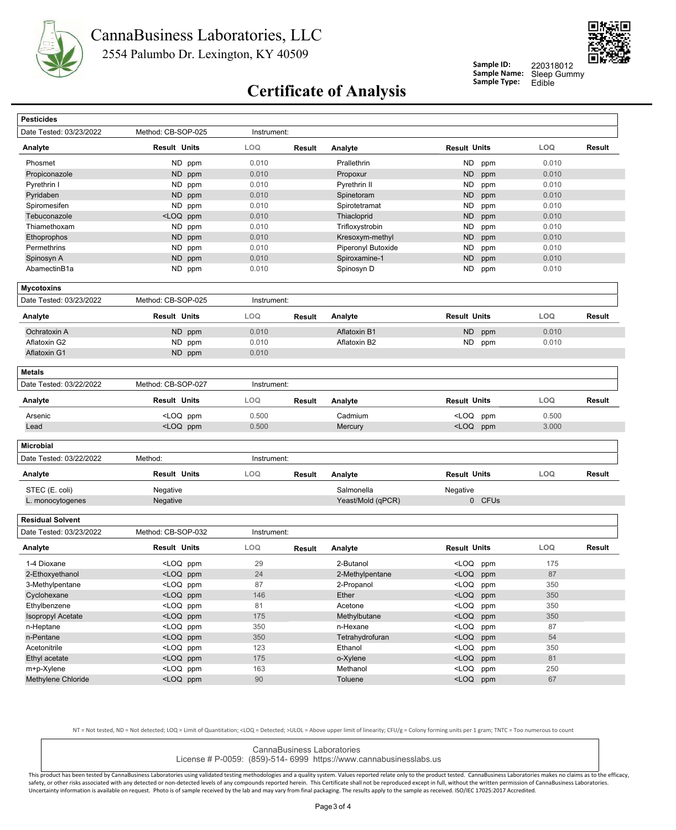



**Sample ID: Sample Name:**

Sleep Gummy<br>Edible 220318012

### **Certificate of Analysis** Sample Type:

| <b>Pesticides</b>        |                                                                                                                                 |             |               |                    |                                                  |            |        |
|--------------------------|---------------------------------------------------------------------------------------------------------------------------------|-------------|---------------|--------------------|--------------------------------------------------|------------|--------|
| Date Tested: 03/23/2022  | Method: CB-SOP-025                                                                                                              | Instrument: |               |                    |                                                  |            |        |
| Analyte                  | <b>Result Units</b>                                                                                                             | LOQ         | <b>Result</b> | Analyte            | <b>Result Units</b>                              | LOQ        | Result |
| Phosmet                  | ND ppm                                                                                                                          | 0.010       |               | Prallethrin        | ND<br>ppm                                        | 0.010      |        |
| Propiconazole            | ND ppm                                                                                                                          | 0.010       |               | Propoxur           | <b>ND</b><br>ppm                                 | 0.010      |        |
| Pyrethrin I              | ND ppm                                                                                                                          | 0.010       |               | Pyrethrin II       | ND<br>ppm                                        | 0.010      |        |
| Pyridaben                | ND ppm                                                                                                                          | 0.010       |               | Spinetoram         | ND<br>ppm                                        | 0.010      |        |
| Spiromesifen             | ND ppm                                                                                                                          | 0.010       |               | Spirotetramat      | <b>ND</b><br>ppm                                 | 0.010      |        |
| Tebuconazole             | <loq ppm<="" td=""><td>0.010</td><td></td><td>Thiacloprid</td><td><b>ND</b><br/>ppm</td><td>0.010</td><td></td></loq>           | 0.010       |               | Thiacloprid        | <b>ND</b><br>ppm                                 | 0.010      |        |
| Thiamethoxam             | ND ppm                                                                                                                          | 0.010       |               | Trifloxystrobin    | ND<br>ppm                                        | 0.010      |        |
| Ethoprophos              | ND ppm                                                                                                                          | 0.010       |               | Kresoxym-methyl    | <b>ND</b><br>ppm                                 | 0.010      |        |
| Permethrins              | ND ppm                                                                                                                          | 0.010       |               | Piperonyl Butoxide | ND<br>ppm                                        | 0.010      |        |
| Spinosyn A               | ND ppm                                                                                                                          | 0.010       |               | Spiroxamine-1      | <b>ND</b><br>ppm                                 | 0.010      |        |
| AbamectinB1a             | ND ppm                                                                                                                          | 0.010       |               | Spinosyn D         | ND<br>ppm                                        | 0.010      |        |
| <b>Mycotoxins</b>        |                                                                                                                                 |             |               |                    |                                                  |            |        |
| Date Tested: 03/23/2022  | Method: CB-SOP-025                                                                                                              | Instrument: |               |                    |                                                  |            |        |
| Analyte                  | Result Units                                                                                                                    | <b>LOQ</b>  | Result        | Analyte            | <b>Result Units</b>                              | <b>LOQ</b> | Result |
| Ochratoxin A             | ND ppm                                                                                                                          | 0.010       |               | Aflatoxin B1       | <b>ND</b><br>ppm                                 | 0.010      |        |
| Aflatoxin G2             | ND ppm                                                                                                                          | 0.010       |               | Aflatoxin B2       | ND<br>ppm                                        | 0.010      |        |
| Aflatoxin G1             | ND ppm                                                                                                                          | 0.010       |               |                    |                                                  |            |        |
| <b>Metals</b>            |                                                                                                                                 |             |               |                    |                                                  |            |        |
| Date Tested: 03/22/2022  | Method: CB-SOP-027                                                                                                              | Instrument: |               |                    |                                                  |            |        |
| Analyte                  | <b>Result Units</b>                                                                                                             | LOQ         | Result        | Analyte            | <b>Result Units</b>                              | LOQ        | Result |
| Arsenic                  | <loq ppm<="" td=""><td>0.500</td><td></td><td>Cadmium</td><td><loq<br>ppm</loq<br></td><td>0.500</td><td></td></loq>            | 0.500       |               | Cadmium            | <loq<br>ppm</loq<br>                             | 0.500      |        |
| Lead                     | <loq ppm<="" td=""><td>0.500</td><td></td><td>Mercury</td><td><loq ppm<="" td=""><td>3.000</td><td></td></loq></td></loq>       | 0.500       |               | Mercury            | <loq ppm<="" td=""><td>3.000</td><td></td></loq> | 3.000      |        |
| <b>Microbial</b>         |                                                                                                                                 |             |               |                    |                                                  |            |        |
| Date Tested: 03/22/2022  | Method:                                                                                                                         | Instrument: |               |                    |                                                  |            |        |
| Analyte                  | <b>Result Units</b>                                                                                                             | <b>LOQ</b>  | Result        | Analyte            | <b>Result Units</b>                              | LOQ        | Result |
| STEC (E. coli)           | Negative                                                                                                                        |             |               | Salmonella         | Negative                                         |            |        |
| L. monocytogenes         | Negative                                                                                                                        |             |               | Yeast/Mold (qPCR)  | 0 CFUs                                           |            |        |
|                          |                                                                                                                                 |             |               |                    |                                                  |            |        |
| <b>Residual Solvent</b>  |                                                                                                                                 |             |               |                    |                                                  |            |        |
| Date Tested: 03/23/2022  | Method: CB-SOP-032                                                                                                              | Instrument: |               |                    |                                                  |            |        |
| Analyte                  | <b>Result Units</b>                                                                                                             | LOQ         | Result        | Analyte            | <b>Result Units</b>                              | LOQ        | Result |
| 1-4 Dioxane              | <loq ppm<="" td=""><td>29</td><td></td><td>2-Butanol</td><td><loq<br>ppm</loq<br></td><td>175</td><td></td></loq>               | 29          |               | 2-Butanol          | <loq<br>ppm</loq<br>                             | 175        |        |
| 2-Ethoxyethanol          | <loq ppm<="" td=""><td>24</td><td></td><td>2-Methylpentane</td><td><loq ppm<="" td=""><td>87</td><td></td></loq></td></loq>     | 24          |               | 2-Methylpentane    | <loq ppm<="" td=""><td>87</td><td></td></loq>    | 87         |        |
| 3-Methylpentane          | <loq ppm<="" td=""><td>87</td><td></td><td>2-Propanol</td><td><loq ppm<="" td=""><td>350</td><td></td></loq></td></loq>         | 87          |               | 2-Propanol         | <loq ppm<="" td=""><td>350</td><td></td></loq>   | 350        |        |
| Cyclohexane              | <loq ppm<="" td=""><td>146</td><td></td><td>Ether</td><td><loq ppm<="" td=""><td>350</td><td></td></loq></td></loq>             | 146         |               | Ether              | <loq ppm<="" td=""><td>350</td><td></td></loq>   | 350        |        |
| Ethylbenzene             | <loq ppm<="" td=""><td>81</td><td></td><td>Acetone</td><td><loq ppm<="" td=""><td>350</td><td></td></loq></td></loq>            | 81          |               | Acetone            | <loq ppm<="" td=""><td>350</td><td></td></loq>   | 350        |        |
| <b>Isopropyl Acetate</b> | <loq ppm<="" td=""><td>175</td><td></td><td>Methylbutane</td><td><loq ppm<="" td=""><td>350</td><td></td></loq></td></loq>      | 175         |               | Methylbutane       | <loq ppm<="" td=""><td>350</td><td></td></loq>   | 350        |        |
| n-Heptane                | <loq ppm<="" td=""><td>350</td><td></td><td>n-Hexane</td><td><math>&lt;</math>LOQ<br/>ppm</td><td>87</td><td></td></loq>        | 350         |               | n-Hexane           | $<$ LOQ<br>ppm                                   | 87         |        |
| n-Pentane                | <loq ppm<="" td=""><td>350</td><td></td><td>Tetrahydrofuran</td><td><math>&lt;</math>LOQ<br/>ppm</td><td>54</td><td></td></loq> | 350         |               | Tetrahydrofuran    | $<$ LOQ<br>ppm                                   | 54         |        |
| Acetonitrile             | <loq ppm<="" td=""><td>123</td><td></td><td>Ethanol</td><td><loq<br>ppm</loq<br></td><td>350</td><td></td></loq>                | 123         |               | Ethanol            | <loq<br>ppm</loq<br>                             | 350        |        |
| Ethyl acetate            | <loq ppm<="" td=""><td>175</td><td></td><td>o-Xylene</td><td><math>&lt;</math>LOQ<br/>ppm</td><td>81</td><td></td></loq>        | 175         |               | o-Xylene           | $<$ LOQ<br>ppm                                   | 81         |        |
| m+p-Xylene               | <loq ppm<="" td=""><td>163</td><td></td><td>Methanol</td><td><loq<br>ppm</loq<br></td><td>250</td><td></td></loq>               | 163         |               | Methanol           | <loq<br>ppm</loq<br>                             | 250        |        |
| Methylene Chloride       | <loq ppm<="" td=""><td>90</td><td></td><td>Toluene</td><td><loq ppm<="" td=""><td>67</td><td></td></loq></td></loq>             | 90          |               | Toluene            | <loq ppm<="" td=""><td>67</td><td></td></loq>    | 67         |        |
|                          |                                                                                                                                 |             |               |                    |                                                  |            |        |

NT = Not tested, ND = Not detected; LOQ = Limit of Quantitation; <LOQ = Detected; >ULOL = Above upper limit of linearity; CFU/g = Colony forming units per 1 gram; TNTC = Too numerous to count

CannaBusiness Laboratories License # P-0059: (859)-514- 6999 https://www.cannabusinesslabs.us

This product has been tested by CannaBusiness Laboratories using validated testing methodologies and a quality system. Values reported relate only to the product tested. CannaBusiness Laboratories makes no claims as to the safety, or other risks associated with any detected or non-detected levels of any compounds reported herein. This Certificate shall not be reproduced except in full, without the written permission of CannaBusiness Laborato Uncertainty information is available on request. Photo is of sample received by the lab and may vary from final packaging. The results apply to the sample as received. ISO/IEC 17025:2017 Accredited.